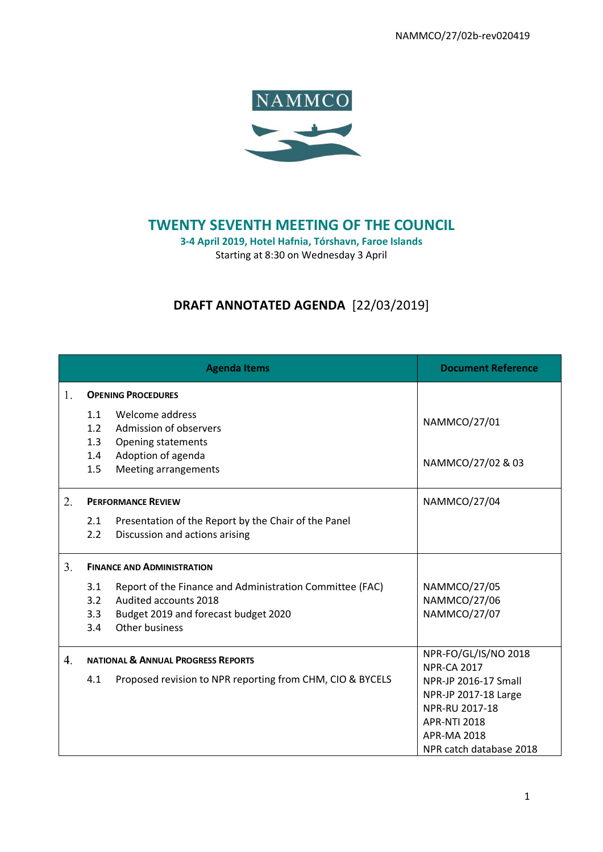NAMMCO/27/02b-rev020419



# **TWENTY SEVENTH MEETING OF THE COUNCIL**

**3-4 April 2019, Hotel Hafnia, Tórshavn, Faroe Islands** Starting at 8:30 on Wednesday 3 April

# **DRAFT ANNOTATED AGENDA** [22/03/2019]

|    | <b>Agenda Items</b>                                                                                                                                                     | <b>Document Reference</b>                                                                                                       |
|----|-------------------------------------------------------------------------------------------------------------------------------------------------------------------------|---------------------------------------------------------------------------------------------------------------------------------|
| 1. | <b>OPENING PROCEDURES</b>                                                                                                                                               |                                                                                                                                 |
|    | 1.1<br>Welcome address<br>1.2<br>Admission of observers<br>1.3<br>Opening statements<br>Adoption of agenda<br>1.4<br><b>Meeting arrangements</b><br>1.5                 | NAMMCO/27/01<br>NAMMCO/27/02 & 03                                                                                               |
| 2. | <b>PERFORMANCE REVIEW</b>                                                                                                                                               | NAMMCO/27/04                                                                                                                    |
|    | 2.1<br>Presentation of the Report by the Chair of the Panel<br>$2.2^{\circ}$<br>Discussion and actions arising                                                          |                                                                                                                                 |
| 3. | <b>FINANCE AND ADMINISTRATION</b>                                                                                                                                       |                                                                                                                                 |
|    | 3.1<br>Report of the Finance and Administration Committee (FAC)<br>3.2<br>Audited accounts 2018<br>3.3<br>Budget 2019 and forecast budget 2020<br>Other business<br>3.4 | NAMMCO/27/05<br>NAMMCO/27/06<br>NAMMCO/27/07                                                                                    |
| 4. | <b>NATIONAL &amp; ANNUAL PROGRESS REPORTS</b>                                                                                                                           | NPR-FO/GL/IS/NO 2018<br><b>NPR-CA 2017</b>                                                                                      |
|    | 4.1<br>Proposed revision to NPR reporting from CHM, CIO & BYCELS                                                                                                        | NPR-JP 2016-17 Small<br>NPR-JP 2017-18 Large<br>NPR-RU 2017-18<br><b>APR-NTI 2018</b><br>APR-MA 2018<br>NPR catch database 2018 |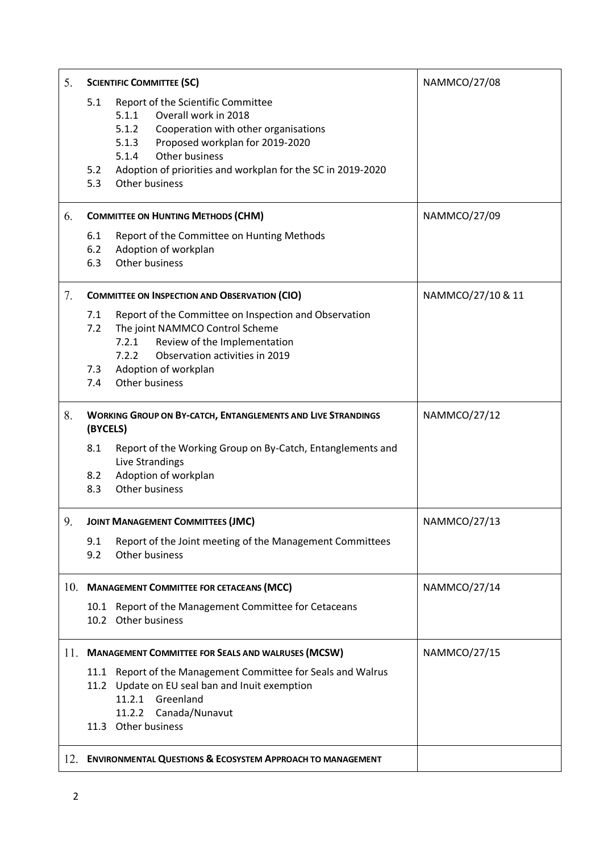| 5.  | <b>SCIENTIFIC COMMITTEE (SC)</b>                                                                                                                                                                                                                                                               | NAMMCO/27/08      |
|-----|------------------------------------------------------------------------------------------------------------------------------------------------------------------------------------------------------------------------------------------------------------------------------------------------|-------------------|
|     | Report of the Scientific Committee<br>5.1<br>Overall work in 2018<br>5.1.1<br>5.1.2 Cooperation with other organisations<br>5.1.3<br>Proposed workplan for 2019-2020<br>Other business<br>5.1.4<br>Adoption of priorities and workplan for the SC in 2019-2020<br>5.2<br>5.3<br>Other business |                   |
| 6.  | <b>COMMITTEE ON HUNTING METHODS (CHM)</b>                                                                                                                                                                                                                                                      | NAMMCO/27/09      |
|     | Report of the Committee on Hunting Methods<br>6.1<br>6.2<br>Adoption of workplan<br>Other business<br>6.3                                                                                                                                                                                      |                   |
| 7.  | <b>COMMITTEE ON INSPECTION AND OBSERVATION (CIO)</b>                                                                                                                                                                                                                                           | NAMMCO/27/10 & 11 |
|     | 7.1<br>Report of the Committee on Inspection and Observation<br>The joint NAMMCO Control Scheme<br>7.2<br>7.2.1 Review of the Implementation<br>Observation activities in 2019<br>7.2.2<br>Adoption of workplan<br>7.3<br>Other business<br>7.4                                                |                   |
|     |                                                                                                                                                                                                                                                                                                |                   |
| 8.  | <b>WORKING GROUP ON BY-CATCH, ENTANGLEMENTS AND LIVE STRANDINGS</b><br>(BYCELS)                                                                                                                                                                                                                | NAMMCO/27/12      |
|     | 8.1<br>Report of the Working Group on By-Catch, Entanglements and<br>Live Strandings<br>Adoption of workplan<br>8.2<br>Other business<br>8.3                                                                                                                                                   |                   |
| 9.  | <b>JOINT MANAGEMENT COMMITTEES (JMC)</b>                                                                                                                                                                                                                                                       | NAMMCO/27/13      |
|     | 9.1<br>Report of the Joint meeting of the Management Committees<br>9.2<br>Other business                                                                                                                                                                                                       |                   |
|     | 10. MANAGEMENT COMMITTEE FOR CETACEANS (MCC)                                                                                                                                                                                                                                                   | NAMMCO/27/14      |
|     | 10.1 Report of the Management Committee for Cetaceans<br>10.2 Other business                                                                                                                                                                                                                   |                   |
| 11. | <b>MANAGEMENT COMMITTEE FOR SEALS AND WALRUSES (MCSW)</b>                                                                                                                                                                                                                                      | NAMMCO/27/15      |
|     | Report of the Management Committee for Seals and Walrus<br>11.1<br>11.2 Update on EU seal ban and Inuit exemption<br>11.2.1 Greenland<br>11.2.2 Canada/Nunavut                                                                                                                                 |                   |
|     | 11.3 Other business                                                                                                                                                                                                                                                                            |                   |
| 12. | <b>ENVIRONMENTAL QUESTIONS &amp; ECOSYSTEM APPROACH TO MANAGEMENT</b>                                                                                                                                                                                                                          |                   |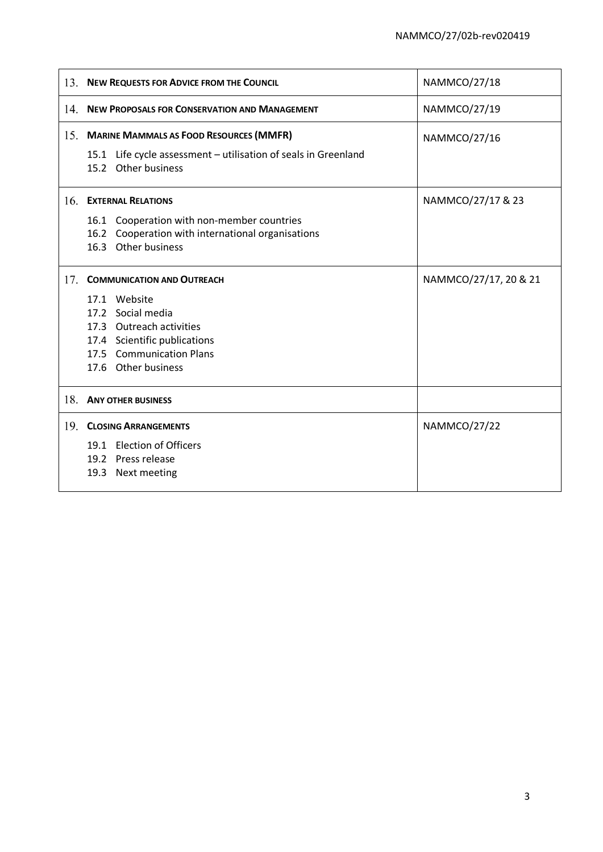| NAMMCO/27/19<br>14.<br><b>NEW PROPOSALS FOR CONSERVATION AND MANAGEMENT</b><br>15. MARINE MAMMALS AS FOOD RESOURCES (MMFR)<br>NAMMCO/27/16<br>15.1 Life cycle assessment - utilisation of seals in Greenland<br>15.2 Other business<br>16.<br><b>EXTERNAL RELATIONS</b><br>NAMMCO/27/17 & 23<br>Cooperation with non-member countries<br>16.1<br>16.2 Cooperation with international organisations<br>16.3 Other business<br>17.<br><b>COMMUNICATION AND OUTREACH</b><br>NAMMCO/27/17, 20 & 21<br>17.1 Website<br>17.2 Social media<br>17.3 Outreach activities<br>17.4 Scientific publications<br>17.5 Communication Plans<br>17.6 Other business<br>18.<br><b>ANY OTHER BUSINESS</b><br>19 <sub>1</sub><br><b>CLOSING ARRANGEMENTS</b><br>NAMMCO/27/22<br>19.1 Election of Officers<br>19.2 Press release<br>19.3 Next meeting | 13. NEW REQUESTS FOR ADVICE FROM THE COUNCIL | <b>NAMMCO/27/18</b> |
|----------------------------------------------------------------------------------------------------------------------------------------------------------------------------------------------------------------------------------------------------------------------------------------------------------------------------------------------------------------------------------------------------------------------------------------------------------------------------------------------------------------------------------------------------------------------------------------------------------------------------------------------------------------------------------------------------------------------------------------------------------------------------------------------------------------------------------|----------------------------------------------|---------------------|
|                                                                                                                                                                                                                                                                                                                                                                                                                                                                                                                                                                                                                                                                                                                                                                                                                                  |                                              |                     |
|                                                                                                                                                                                                                                                                                                                                                                                                                                                                                                                                                                                                                                                                                                                                                                                                                                  |                                              |                     |
|                                                                                                                                                                                                                                                                                                                                                                                                                                                                                                                                                                                                                                                                                                                                                                                                                                  |                                              |                     |
|                                                                                                                                                                                                                                                                                                                                                                                                                                                                                                                                                                                                                                                                                                                                                                                                                                  |                                              |                     |
|                                                                                                                                                                                                                                                                                                                                                                                                                                                                                                                                                                                                                                                                                                                                                                                                                                  |                                              |                     |
|                                                                                                                                                                                                                                                                                                                                                                                                                                                                                                                                                                                                                                                                                                                                                                                                                                  |                                              |                     |
|                                                                                                                                                                                                                                                                                                                                                                                                                                                                                                                                                                                                                                                                                                                                                                                                                                  |                                              |                     |
|                                                                                                                                                                                                                                                                                                                                                                                                                                                                                                                                                                                                                                                                                                                                                                                                                                  |                                              |                     |
|                                                                                                                                                                                                                                                                                                                                                                                                                                                                                                                                                                                                                                                                                                                                                                                                                                  |                                              |                     |
|                                                                                                                                                                                                                                                                                                                                                                                                                                                                                                                                                                                                                                                                                                                                                                                                                                  |                                              |                     |
|                                                                                                                                                                                                                                                                                                                                                                                                                                                                                                                                                                                                                                                                                                                                                                                                                                  |                                              |                     |
|                                                                                                                                                                                                                                                                                                                                                                                                                                                                                                                                                                                                                                                                                                                                                                                                                                  |                                              |                     |
|                                                                                                                                                                                                                                                                                                                                                                                                                                                                                                                                                                                                                                                                                                                                                                                                                                  |                                              |                     |
|                                                                                                                                                                                                                                                                                                                                                                                                                                                                                                                                                                                                                                                                                                                                                                                                                                  |                                              |                     |
|                                                                                                                                                                                                                                                                                                                                                                                                                                                                                                                                                                                                                                                                                                                                                                                                                                  |                                              |                     |
|                                                                                                                                                                                                                                                                                                                                                                                                                                                                                                                                                                                                                                                                                                                                                                                                                                  |                                              |                     |
|                                                                                                                                                                                                                                                                                                                                                                                                                                                                                                                                                                                                                                                                                                                                                                                                                                  |                                              |                     |
|                                                                                                                                                                                                                                                                                                                                                                                                                                                                                                                                                                                                                                                                                                                                                                                                                                  |                                              |                     |
|                                                                                                                                                                                                                                                                                                                                                                                                                                                                                                                                                                                                                                                                                                                                                                                                                                  |                                              |                     |
|                                                                                                                                                                                                                                                                                                                                                                                                                                                                                                                                                                                                                                                                                                                                                                                                                                  |                                              |                     |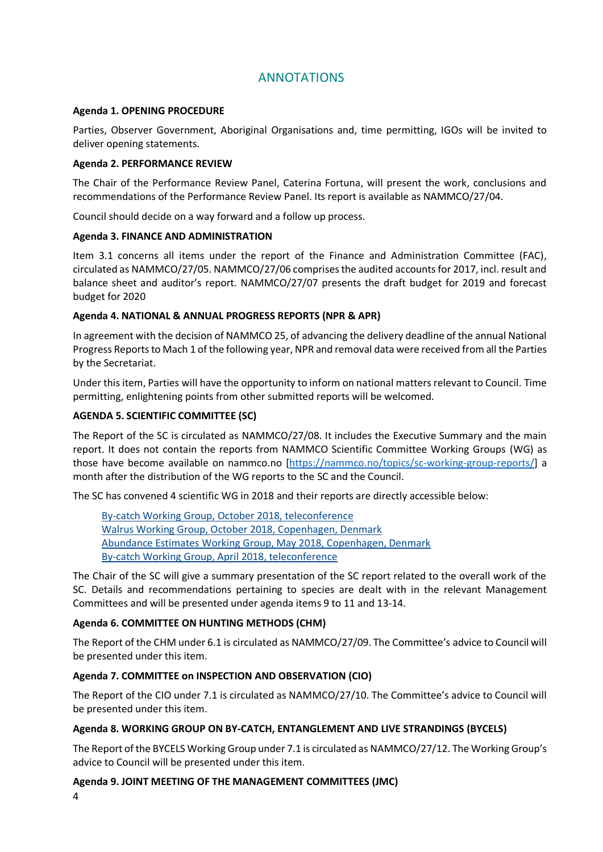# ANNOTATIONS

## **Agenda 1. OPENING PROCEDURE**

Parties, Observer Government, Aboriginal Organisations and, time permitting, IGOs will be invited to deliver opening statements.

### **Agenda 2. PERFORMANCE REVIEW**

The Chair of the Performance Review Panel, Caterina Fortuna, will present the work, conclusions and recommendations of the Performance Review Panel. Its report is available as NAMMCO/27/04.

Council should decide on a way forward and a follow up process.

## **Agenda 3. FINANCE AND ADMINISTRATION**

Item 3.1 concerns all items under the report of the Finance and Administration Committee (FAC), circulated as NAMMCO/27/05. NAMMCO/27/06 comprises the audited accounts for 2017, incl. result and balance sheet and auditor's report. NAMMCO/27/07 presents the draft budget for 2019 and forecast budget for 2020

# **Agenda 4. NATIONAL & ANNUAL PROGRESS REPORTS (NPR & APR)**

In agreement with the decision of NAMMCO 25, of advancing the delivery deadline of the annual National Progress Reports to Mach 1 of the following year, NPR and removal data were received from all the Parties by the Secretariat.

Under this item, Parties will have the opportunity to inform on national matters relevant to Council. Time permitting, enlightening points from other submitted reports will be welcomed.

# **AGENDA 5. SCIENTIFIC COMMITTEE (SC)**

The Report of the SC is circulated as NAMMCO/27/08. It includes the Executive Summary and the main report. It does not contain the reports from NAMMCO Scientific Committee Working Groups (WG) as those have become available on nammco.no [\[https://nammco.no/topics/sc-working-group-reports/\]](https://nammco.no/topics/sc-working-group-reports/) a month after the distribution of the WG reports to the SC and the Council.

The SC has convened 4 scientific WG in 2018 and their reports are directly accessible below:

By-catch Working Group, October 2018, [teleconference](https://nammco.no/wp-content/uploads/2019/01/bycwg-october_2018_final-report_291118.pdf) Walrus Working Group, October 2018, [Copenhagen,](https://nammco.no/wp-content/uploads/2017/01/final-report_wwg2018_071118-.pdf) Denmark Abundance Estimates Working Group, May 2018, [Copenhagen,](https://nammco.no/wp-content/uploads/2018/09/report_aewg_2018_final.pdf) Denmark By-catch Working Group, April 2018, [teleconference](https://nammco.no/wp-content/uploads/2018/05/report-nammco-sc-bycwg-04042018.pdf)

The Chair of the SC will give a summary presentation of the SC report related to the overall work of the SC. Details and recommendations pertaining to species are dealt with in the relevant Management Committees and will be presented under agenda items 9 to 11 and 13-14.

# **Agenda 6. COMMITTEE ON HUNTING METHODS (CHM)**

The Report of the CHM under 6.1 is circulated as NAMMCO/27/09. The Committee's advice to Council will be presented under this item.

# **Agenda 7. COMMITTEE on INSPECTION AND OBSERVATION (CIO)**

The Report of the CIO under 7.1 is circulated as NAMMCO/27/10. The Committee's advice to Council will be presented under this item.

# **Agenda 8. WORKING GROUP ON BY-CATCH, ENTANGLEMENT AND LIVE STRANDINGS (BYCELS)**

The Report of the BYCELS Working Group under 7.1 is circulated as NAMMCO/27/12. The Working Group's advice to Council will be presented under this item.

#### **Agenda 9. JOINT MEETING OF THE MANAGEMENT COMMITTEES (JMC)**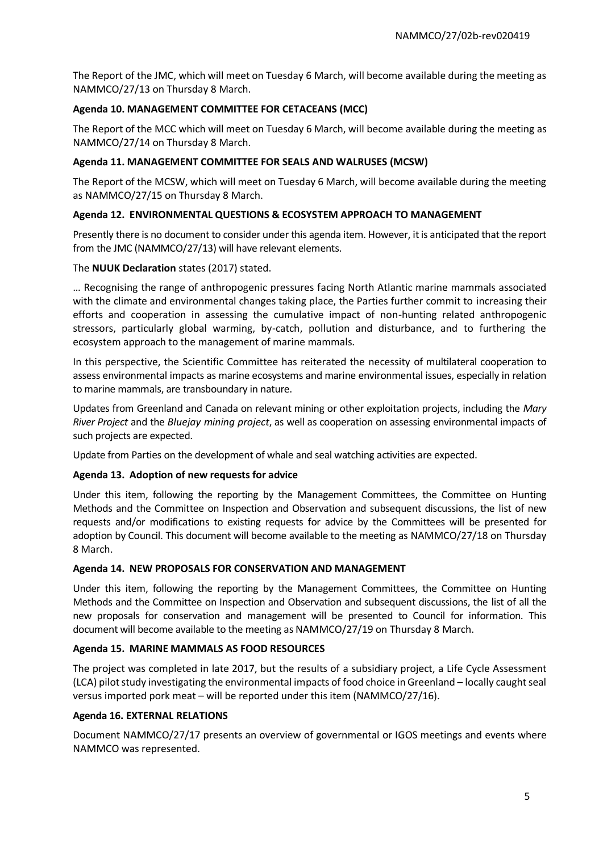The Report of the JMC, which will meet on Tuesday 6 March, will become available during the meeting as NAMMCO/27/13 on Thursday 8 March.

## **Agenda 10. MANAGEMENT COMMITTEE FOR CETACEANS (MCC)**

The Report of the MCC which will meet on Tuesday 6 March, will become available during the meeting as NAMMCO/27/14 on Thursday 8 March.

## **Agenda 11. MANAGEMENT COMMITTEE FOR SEALS AND WALRUSES (MCSW)**

The Report of the MCSW, which will meet on Tuesday 6 March, will become available during the meeting as NAMMCO/27/15 on Thursday 8 March.

## **Agenda 12. ENVIRONMENTAL QUESTIONS & ECOSYSTEM APPROACH TO MANAGEMENT**

Presently there is no document to consider under this agenda item. However, it is anticipated that the report from the JMC (NAMMCO/27/13) will have relevant elements.

## The **NUUK Declaration** states (2017) stated.

… Recognising the range of anthropogenic pressures facing North Atlantic marine mammals associated with the climate and environmental changes taking place, the Parties further commit to increasing their efforts and cooperation in assessing the cumulative impact of non-hunting related anthropogenic stressors, particularly global warming, by-catch, pollution and disturbance, and to furthering the ecosystem approach to the management of marine mammals.

In this perspective, the Scientific Committee has reiterated the necessity of multilateral cooperation to assess environmental impacts as marine ecosystems and marine environmental issues, especially in relation to marine mammals, are transboundary in nature.

Updates from Greenland and Canada on relevant mining or other exploitation projects, including the *Mary River Project* and the *Bluejay mining project*, as well as cooperation on assessing environmental impacts of such projects are expected.

Update from Parties on the development of whale and seal watching activities are expected.

#### **Agenda 13. Adoption of new requests for advice**

Under this item, following the reporting by the Management Committees, the Committee on Hunting Methods and the Committee on Inspection and Observation and subsequent discussions, the list of new requests and/or modifications to existing requests for advice by the Committees will be presented for adoption by Council. This document will become available to the meeting as NAMMCO/27/18 on Thursday 8 March.

#### **Agenda 14. NEW PROPOSALS FOR CONSERVATION AND MANAGEMENT**

Under this item, following the reporting by the Management Committees, the Committee on Hunting Methods and the Committee on Inspection and Observation and subsequent discussions, the list of all the new proposals for conservation and management will be presented to Council for information. This document will become available to the meeting as NAMMCO/27/19 on Thursday 8 March.

#### **Agenda 15. MARINE MAMMALS AS FOOD RESOURCES**

The project was completed in late 2017, but the results of a subsidiary project, a Life Cycle Assessment (LCA) pilot study investigating the environmental impacts of food choice in Greenland – locally caught seal versus imported pork meat – will be reported under this item (NAMMCO/27/16).

#### **Agenda 16. EXTERNAL RELATIONS**

Document NAMMCO/27/17 presents an overview of governmental or IGOS meetings and events where NAMMCO was represented.